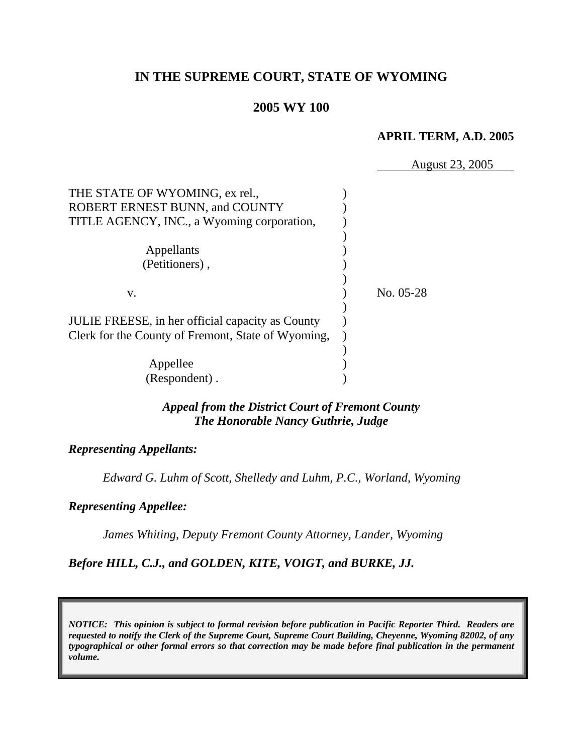# **IN THE SUPREME COURT, STATE OF WYOMING**

# **2005 WY 100**

#### **APRIL TERM, A.D. 2005**

August 23, 2005

| THE STATE OF WYOMING, ex rel.,                     |           |  |
|----------------------------------------------------|-----------|--|
| <b>ROBERT ERNEST BUNN, and COUNTY</b>              |           |  |
| TITLE AGENCY, INC., a Wyoming corporation,         |           |  |
|                                                    |           |  |
| Appellants                                         |           |  |
| (Petitioners),                                     |           |  |
|                                                    |           |  |
| v.                                                 | No. 05-28 |  |
|                                                    |           |  |
| JULIE FREESE, in her official capacity as County   |           |  |
| Clerk for the County of Fremont, State of Wyoming, |           |  |
|                                                    |           |  |
| Appellee                                           |           |  |
| (Respondent).                                      |           |  |
|                                                    |           |  |

*Appeal from the District Court of Fremont County The Honorable Nancy Guthrie, Judge* 

# *Representing Appellants:*

*Edward G. Luhm of Scott, Shelledy and Luhm, P.C., Worland, Wyoming* 

#### *Representing Appellee:*

*James Whiting, Deputy Fremont County Attorney, Lander, Wyoming* 

*Before HILL, C.J., and GOLDEN, KITE, VOIGT, and BURKE, JJ.* 

*NOTICE: This opinion is subject to formal revision before publication in Pacific Reporter Third. Readers are requested to notify the Clerk of the Supreme Court, Supreme Court Building, Cheyenne, Wyoming 82002, of any typographical or other formal errors so that correction may be made before final publication in the permanent volume.*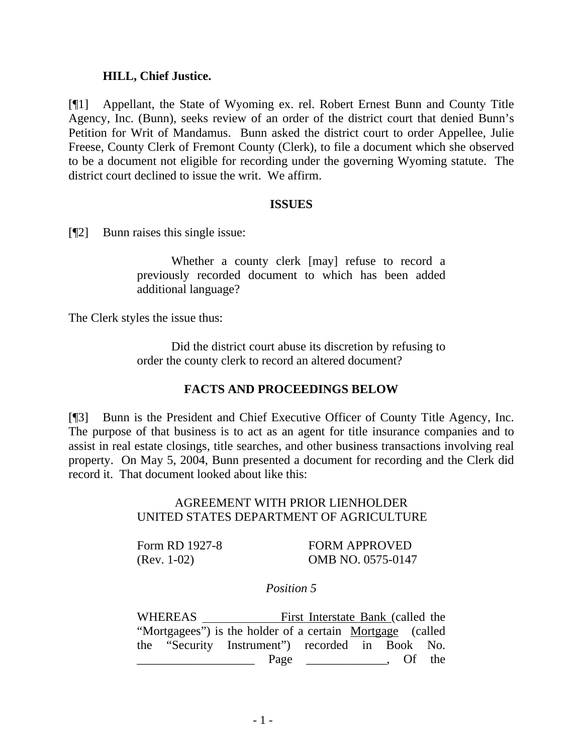### **HILL, Chief Justice.**

[¶1] Appellant, the State of Wyoming ex. rel. Robert Ernest Bunn and County Title Agency, Inc. (Bunn), seeks review of an order of the district court that denied Bunn's Petition for Writ of Mandamus. Bunn asked the district court to order Appellee, Julie Freese, County Clerk of Fremont County (Clerk), to file a document which she observed to be a document not eligible for recording under the governing Wyoming statute. The district court declined to issue the writ. We affirm.

#### **ISSUES**

[¶2] Bunn raises this single issue:

Whether a county clerk [may] refuse to record a previously recorded document to which has been added additional language?

The Clerk styles the issue thus:

Did the district court abuse its discretion by refusing to order the county clerk to record an altered document?

## **FACTS AND PROCEEDINGS BELOW**

[¶3] Bunn is the President and Chief Executive Officer of County Title Agency, Inc. The purpose of that business is to act as an agent for title insurance companies and to assist in real estate closings, title searches, and other business transactions involving real property. On May 5, 2004, Bunn presented a document for recording and the Clerk did record it. That document looked about like this:

# AGREEMENT WITH PRIOR LIENHOLDER UNITED STATES DEPARTMENT OF AGRICULTURE

| Form RD 1927-8 | <b>FORM APPROVED</b> |
|----------------|----------------------|
| (Rev. 1-02)    | OMB NO. 0575-0147    |

#### *Position 5*

WHEREAS First Interstate Bank (called the "Mortgagees") is the holder of a certain Mortgage (called the "Security Instrument") recorded in Book No. Page and page the page of the page  $\overline{C}$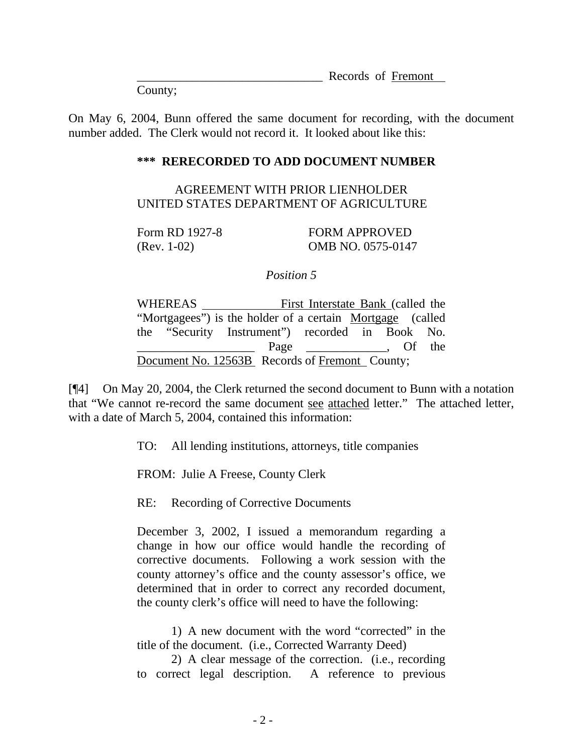\_\_\_\_\_\_\_\_\_\_\_\_\_\_\_\_\_\_\_\_\_\_\_\_\_\_\_\_\_\_ Records of Fremont

County;

On May 6, 2004, Bunn offered the same document for recording, with the document number added. The Clerk would not record it. It looked about like this:

### **\*\*\* RERECORDED TO ADD DOCUMENT NUMBER**

AGREEMENT WITH PRIOR LIENHOLDER UNITED STATES DEPARTMENT OF AGRICULTURE

| Form RD 1927-8 | <b>FORM APPROVED</b> |
|----------------|----------------------|
| (Rev. 1-02)    | OMB NO. 0575-0147    |

*Position 5* 

WHEREAS First Interstate Bank (called the "Mortgagees") is the holder of a certain Mortgage (called the "Security Instrument") recorded in Book No. Page and page the page of the page of the page of the  $\overline{C}$ Document No. 12563B Records of Fremont County;

[¶4] On May 20, 2004, the Clerk returned the second document to Bunn with a notation that "We cannot re-record the same document see attached letter." The attached letter, with a date of March 5, 2004, contained this information:

TO: All lending institutions, attorneys, title companies

FROM: Julie A Freese, County Clerk

RE: Recording of Corrective Documents

December 3, 2002, I issued a memorandum regarding a change in how our office would handle the recording of corrective documents. Following a work session with the county attorney's office and the county assessor's office, we determined that in order to correct any recorded document, the county clerk's office will need to have the following:

1) A new document with the word "corrected" in the title of the document. (i.e., Corrected Warranty Deed)

2) A clear message of the correction. (i.e., recording to correct legal description. A reference to previous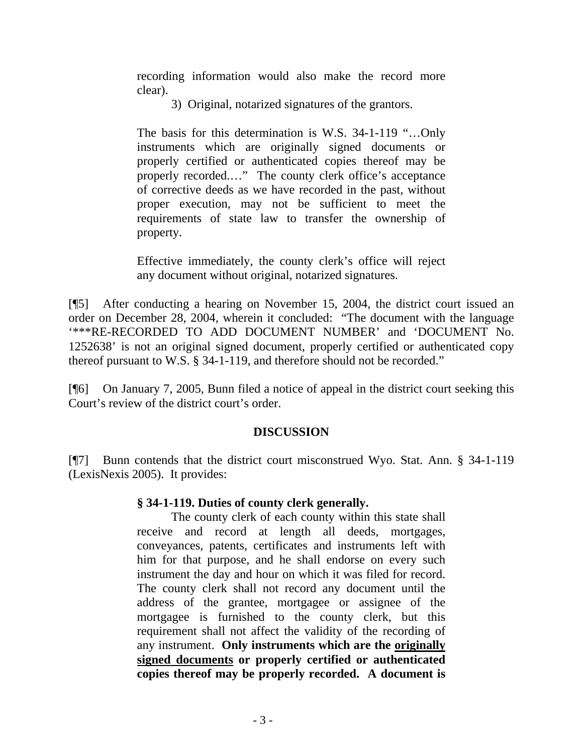recording information would also make the record more clear).

3) Original, notarized signatures of the grantors.

The basis for this determination is W.S. 34-1-119 "…Only instruments which are originally signed documents or properly certified or authenticated copies thereof may be properly recorded.…" The county clerk office's acceptance of corrective deeds as we have recorded in the past, without proper execution, may not be sufficient to meet the requirements of state law to transfer the ownership of property.

Effective immediately, the county clerk's office will reject any document without original, notarized signatures.

[¶5] After conducting a hearing on November 15, 2004, the district court issued an order on December 28, 2004, wherein it concluded: "The document with the language '\*\*\*RE-RECORDED TO ADD DOCUMENT NUMBER' and 'DOCUMENT No. 1252638' is not an original signed document, properly certified or authenticated copy thereof pursuant to W.S. § 34-1-119, and therefore should not be recorded."

[¶6] On January 7, 2005, Bunn filed a notice of appeal in the district court seeking this Court's review of the district court's order.

# **DISCUSSION**

[¶7] Bunn contends that the district court misconstrued Wyo. Stat. Ann. § 34-1-119 (LexisNexis 2005). It provides:

## **§ 34-1-119. Duties of county clerk generally.**

The county clerk of each county within this state shall receive and record at length all deeds, mortgages, conveyances, patents, certificates and instruments left with him for that purpose, and he shall endorse on every such instrument the day and hour on which it was filed for record. The county clerk shall not record any document until the address of the grantee, mortgagee or assignee of the mortgagee is furnished to the county clerk, but this requirement shall not affect the validity of the recording of any instrument. **Only instruments which are the originally signed documents or properly certified or authenticated copies thereof may be properly recorded. A document is**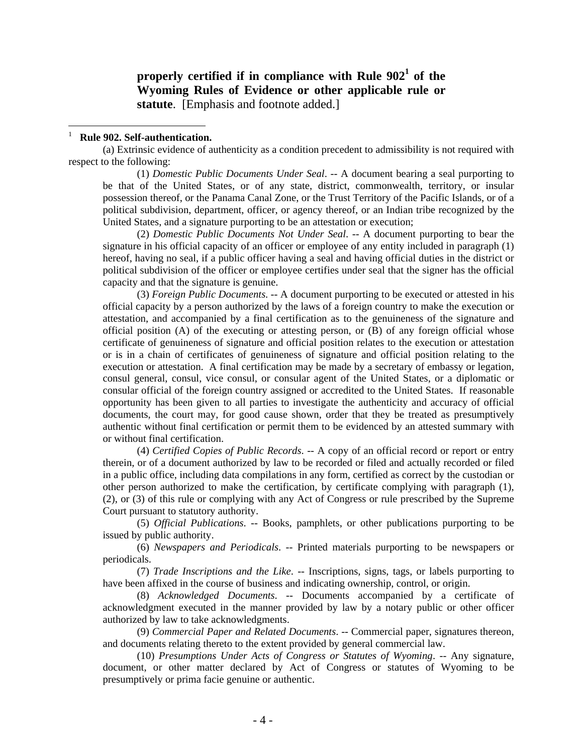**properly certified if in compliance with Rule 902[1](#page-5-0) of the Wyoming Rules of Evidence or other applicable rule or statute**. [Emphasis and footnote added.]

#### <span id="page-5-0"></span>1 **Rule 902. Self-authentication.**

(a) Extrinsic evidence of authenticity as a condition precedent to admissibility is not required with respect to the following:

(1) *Domestic Public Documents Under Seal*. -- A document bearing a seal purporting to be that of the United States, or of any state, district, commonwealth, territory, or insular possession thereof, or the Panama Canal Zone, or the Trust Territory of the Pacific Islands, or of a political subdivision, department, officer, or agency thereof, or an Indian tribe recognized by the United States, and a signature purporting to be an attestation or execution;

(2) *Domestic Public Documents Not Under Seal*. -- A document purporting to bear the signature in his official capacity of an officer or employee of any entity included in paragraph (1) hereof, having no seal, if a public officer having a seal and having official duties in the district or political subdivision of the officer or employee certifies under seal that the signer has the official capacity and that the signature is genuine.

(3) *Foreign Public Documents*. -- A document purporting to be executed or attested in his official capacity by a person authorized by the laws of a foreign country to make the execution or attestation, and accompanied by a final certification as to the genuineness of the signature and official position  $(A)$  of the executing or attesting person, or  $(B)$  of any foreign official whose certificate of genuineness of signature and official position relates to the execution or attestation or is in a chain of certificates of genuineness of signature and official position relating to the execution or attestation. A final certification may be made by a secretary of embassy or legation, consul general, consul, vice consul, or consular agent of the United States, or a diplomatic or consular official of the foreign country assigned or accredited to the United States. If reasonable opportunity has been given to all parties to investigate the authenticity and accuracy of official documents, the court may, for good cause shown, order that they be treated as presumptively authentic without final certification or permit them to be evidenced by an attested summary with or without final certification.

(4) *Certified Copies of Public Records*. -- A copy of an official record or report or entry therein, or of a document authorized by law to be recorded or filed and actually recorded or filed in a public office, including data compilations in any form, certified as correct by the custodian or other person authorized to make the certification, by certificate complying with paragraph (1), (2), or (3) of this rule or complying with any Act of Congress or rule prescribed by the Supreme Court pursuant to statutory authority.

(5) *Official Publications*. -- Books, pamphlets, or other publications purporting to be issued by public authority.

(6) *Newspapers and Periodicals*. -- Printed materials purporting to be newspapers or periodicals.

(7) *Trade Inscriptions and the Like*. -- Inscriptions, signs, tags, or labels purporting to have been affixed in the course of business and indicating ownership, control, or origin.

(8) *Acknowledged Documents*. -- Documents accompanied by a certificate of acknowledgment executed in the manner provided by law by a notary public or other officer authorized by law to take acknowledgments.

(9) *Commercial Paper and Related Documents*. -- Commercial paper, signatures thereon, and documents relating thereto to the extent provided by general commercial law.

(10) *Presumptions Under Acts of Congress or Statutes of Wyoming*. -- Any signature, document, or other matter declared by Act of Congress or statutes of Wyoming to be presumptively or prima facie genuine or authentic.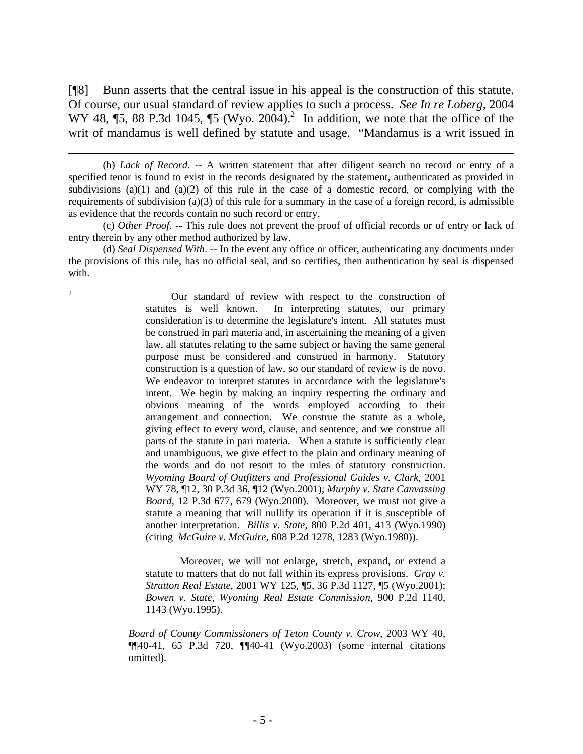[¶8] Bunn asserts that the central issue in his appeal is the construction of this statute. Of course, our usual standard of review applies to such a process. *See In re Loberg*, 2004 WY 48,  $\$\,5$ , 88 P.3d 1045,  $\$\,5$  (Wyo. [2](#page-6-0)004).<sup>2</sup> In addition, we note that the office of the writ of mandamus is well defined by statute and usage. "Mandamus is a writ issued in

l

 (c) *Other Proof*. -- This rule does not prevent the proof of official records or of entry or lack of entry therein by any other method authorized by law.

 (d) *Seal Dispensed With*. -- In the event any office or officer, authenticating any documents under the provisions of this rule, has no official seal, and so certifies, then authentication by seal is dispensed with.

<span id="page-6-0"></span><sup>2</sup> Our standard of review with respect to the construction of statutes is well known. In interpreting statutes, our primary consideration is to determine the legislature's intent. All statutes must be construed in pari materia and, in ascertaining the meaning of a given law, all statutes relating to the same subject or having the same general purpose must be considered and construed in harmony. Statutory construction is a question of law, so our standard of review is de novo. We endeavor to interpret statutes in accordance with the legislature's intent. We begin by making an inquiry respecting the ordinary and obvious meaning of the words employed according to their arrangement and connection. We construe the statute as a whole, giving effect to every word, clause, and sentence, and we construe all parts of the statute in pari materia. When a statute is sufficiently clear and unambiguous, we give effect to the plain and ordinary meaning of the words and do not resort to the rules of statutory construction. *Wyoming Board of Outfitters and Professional Guides v. Clark*, 2001 WY 78, ¶12, 30 P.3d 36, ¶12 (Wyo.2001); *Murphy v. State Canvassing Board*, 12 P.3d 677, 679 (Wyo.2000). Moreover, we must not give a statute a meaning that will nullify its operation if it is susceptible of another interpretation. *Billis v. State*, 800 P.2d 401, 413 (Wyo.1990) (citing *McGuire v. McGuire*, 608 P.2d 1278, 1283 (Wyo.1980)).

> Moreover, we will not enlarge, stretch, expand, or extend a statute to matters that do not fall within its express provisions. *Gray v. Stratton Real Estate*, 2001 WY 125, ¶5, 36 P.3d 1127, ¶5 (Wyo.2001); *Bowen v. State, Wyoming Real Estate Commission*, 900 P.2d 1140, 1143 (Wyo.1995).

*Board of County Commissioners of Teton County v. Crow*, 2003 WY 40, ¶¶40-41, 65 P.3d 720, ¶¶40-41 (Wyo.2003) (some internal citations omitted).

 $-5 -$ 

 <sup>(</sup>b) *Lack of Record*. -- A written statement that after diligent search no record or entry of a specified tenor is found to exist in the records designated by the statement, authenticated as provided in subdivisions (a)(1) and (a)(2) of this rule in the case of a domestic record, or complying with the requirements of subdivision (a)(3) of this rule for a summary in the case of a foreign record, is admissible as evidence that the records contain no such record or entry.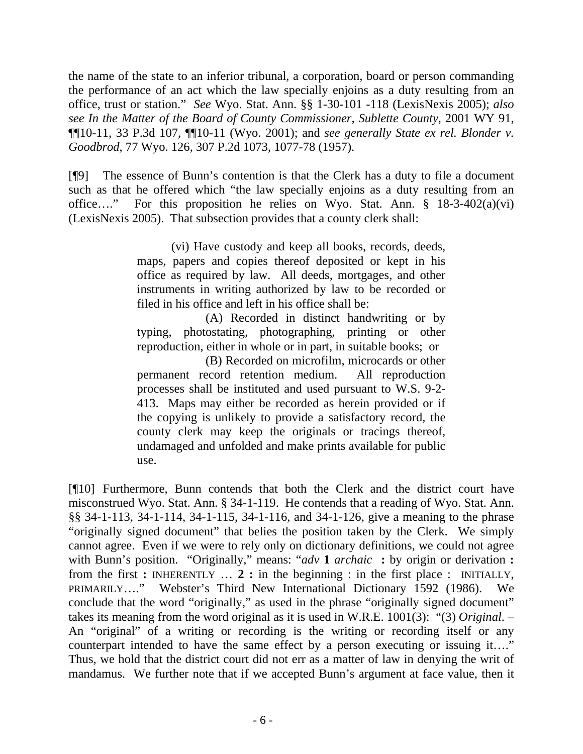the name of the state to an inferior tribunal, a corporation, board or person commanding the performance of an act which the law specially enjoins as a duty resulting from an office, trust or station." *See* Wyo. Stat. Ann. §§ 1-30-101 -118 (LexisNexis 2005); *also see In the Matter of the Board of County Commissioner, Sublette County*, 2001 WY 91, ¶¶10-11, 33 P.3d 107, ¶¶10-11 (Wyo. 2001); and *see generally State ex rel. Blonder v. Goodbrod*, 77 Wyo. 126, 307 P.2d 1073, 1077-78 (1957).

[¶9] The essence of Bunn's contention is that the Clerk has a duty to file a document such as that he offered which "the law specially enjoins as a duty resulting from an office…." For this proposition he relies on Wyo. Stat. Ann. § 18-3-402(a)(vi) (LexisNexis 2005). That subsection provides that a county clerk shall:

> (vi) Have custody and keep all books, records, deeds, maps, papers and copies thereof deposited or kept in his office as required by law. All deeds, mortgages, and other instruments in writing authorized by law to be recorded or filed in his office and left in his office shall be:

> (A) Recorded in distinct handwriting or by typing, photostating, photographing, printing or other reproduction, either in whole or in part, in suitable books; or

> (B) Recorded on microfilm, microcards or other permanent record retention medium. All reproduction processes shall be instituted and used pursuant to W.S. 9-2- 413. Maps may either be recorded as herein provided or if the copying is unlikely to provide a satisfactory record, the county clerk may keep the originals or tracings thereof, undamaged and unfolded and make prints available for public use.

[¶10] Furthermore, Bunn contends that both the Clerk and the district court have misconstrued Wyo. Stat. Ann. § 34-1-119. He contends that a reading of Wyo. Stat. Ann. §§ 34-1-113, 34-1-114, 34-1-115, 34-1-116, and 34-1-126, give a meaning to the phrase "originally signed document" that belies the position taken by the Clerk. We simply cannot agree. Even if we were to rely only on dictionary definitions, we could not agree with Bunn's position. "Originally," means: "*adv* **1** *archaic* **:** by origin or derivation **:** from the first **:** INHERENTLY … **2 :** in the beginning : in the first place : INITIALLY, PRIMARILY…." Webster's Third New International Dictionary 1592 (1986). We conclude that the word "originally," as used in the phrase "originally signed document" takes its meaning from the word original as it is used in W.R.E. 1001(3): "(3) *Original*. – An "original" of a writing or recording is the writing or recording itself or any counterpart intended to have the same effect by a person executing or issuing it…." Thus, we hold that the district court did not err as a matter of law in denying the writ of mandamus. We further note that if we accepted Bunn's argument at face value, then it